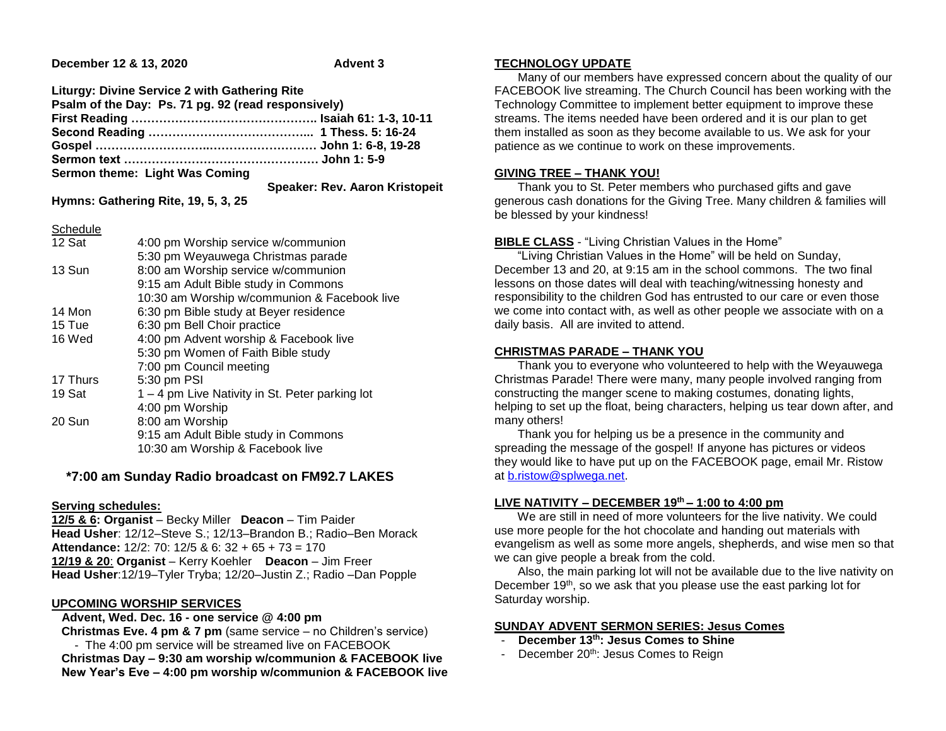### **December 12 & 13, 2020** Advent 3

**Liturgy: Divine Service 2 with Gathering Rite Psalm of the Day: Ps. 71 pg. 92 (read responsively) First Reading ……………………………………….. Isaiah 61: 1-3, 10-11 Second Reading …………………………………... 1 Thess. 5: 16-24 Gospel ………………………..……………………… John 1: 6-8, 19-28 Sermon text …………………………………………. John 1: 5-9 Sermon theme: Light Was Coming Speaker: Rev. Aaron Kristopeit**

**Hymns: Gathering Rite, 19, 5, 3, 25**

**Schedule** 

| 12 Sat   | 4:00 pm Worship service w/communion             |
|----------|-------------------------------------------------|
|          | 5:30 pm Weyauwega Christmas parade              |
| 13 Sun   | 8:00 am Worship service w/communion             |
|          | 9:15 am Adult Bible study in Commons            |
|          | 10:30 am Worship w/communion & Facebook live    |
| 14 Mon   | 6:30 pm Bible study at Beyer residence          |
| 15 Tue   | 6:30 pm Bell Choir practice                     |
| 16 Wed   | 4:00 pm Advent worship & Facebook live          |
|          | 5:30 pm Women of Faith Bible study              |
|          | 7:00 pm Council meeting                         |
| 17 Thurs | 5:30 pm PSI                                     |
| 19 Sat   | 1 – 4 pm Live Nativity in St. Peter parking lot |
|          | 4:00 pm Worship                                 |
| 20 Sun   | 8:00 am Worship                                 |
|          | 9:15 am Adult Bible study in Commons            |
|          | 10:30 am Worship & Facebook live                |
|          |                                                 |

# **\*7:00 am Sunday Radio broadcast on FM92.7 LAKES**

#### **Serving schedules:**

**12/5 & 6: Organist** – Becky Miller **Deacon** – Tim Paider **Head Usher**: 12/12–Steve S.; 12/13–Brandon B.; Radio–Ben Morack **Attendance:** 12/2: 70: 12/5 & 6: 32 + 65 + 73 = 170 **12/19 & 20**: **Organist** – Kerry Koehler **Deacon** – Jim Freer **Head Usher**:12/19–Tyler Tryba; 12/20–Justin Z.; Radio –Dan Popple

## **UPCOMING WORSHIP SERVICES**

 **Advent, Wed. Dec. 16 - one service @ 4:00 pm Christmas Eve. 4 pm & 7 pm** (same service – no Children's service) - The 4:00 pm service will be streamed live on FACEBOOK **Christmas Day – 9:30 am worship w/communion & FACEBOOK live New Year's Eve – 4:00 pm worship w/communion & FACEBOOK live**

# **TECHNOLOGY UPDATE**

 Many of our members have expressed concern about the quality of our FACEBOOK live streaming. The Church Council has been working with the Technology Committee to implement better equipment to improve these streams. The items needed have been ordered and it is our plan to get them installed as soon as they become available to us. We ask for your patience as we continue to work on these improvements.

## **GIVING TREE – THANK YOU!**

 Thank you to St. Peter members who purchased gifts and gave generous cash donations for the Giving Tree. Many children & families will be blessed by your kindness!

### **BIBLE CLASS** - "Living Christian Values in the Home"

 "Living Christian Values in the Home" will be held on Sunday, December 13 and 20, at 9:15 am in the school commons. The two final lessons on those dates will deal with teaching/witnessing honesty and responsibility to the children God has entrusted to our care or even those we come into contact with, as well as other people we associate with on a daily basis. All are invited to attend.

## **CHRISTMAS PARADE – THANK YOU**

 Thank you to everyone who volunteered to help with the Weyauwega Christmas Parade! There were many, many people involved ranging from constructing the manger scene to making costumes, donating lights, helping to set up the float, being characters, helping us tear down after, and many others!

 Thank you for helping us be a presence in the community and spreading the message of the gospel! If anyone has pictures or videos they would like to have put up on the FACEBOOK page, email Mr. Ristow at [b.ristow@splwega.net.](mailto:b.ristow@splwega.net)

# **LIVE NATIVITY – DECEMBER 19th – 1:00 to 4:00 pm**

 We are still in need of more volunteers for the live nativity. We could use more people for the hot chocolate and handing out materials with evangelism as well as some more angels, shepherds, and wise men so that we can give people a break from the cold.

 Also, the main parking lot will not be available due to the live nativity on December 19<sup>th</sup>, so we ask that you please use the east parking lot for Saturday worship.

## **SUNDAY ADVENT SERMON SERIES: Jesus Comes**

- **December 13th: Jesus Comes to Shine**
- December 20<sup>th</sup>: Jesus Comes to Reign